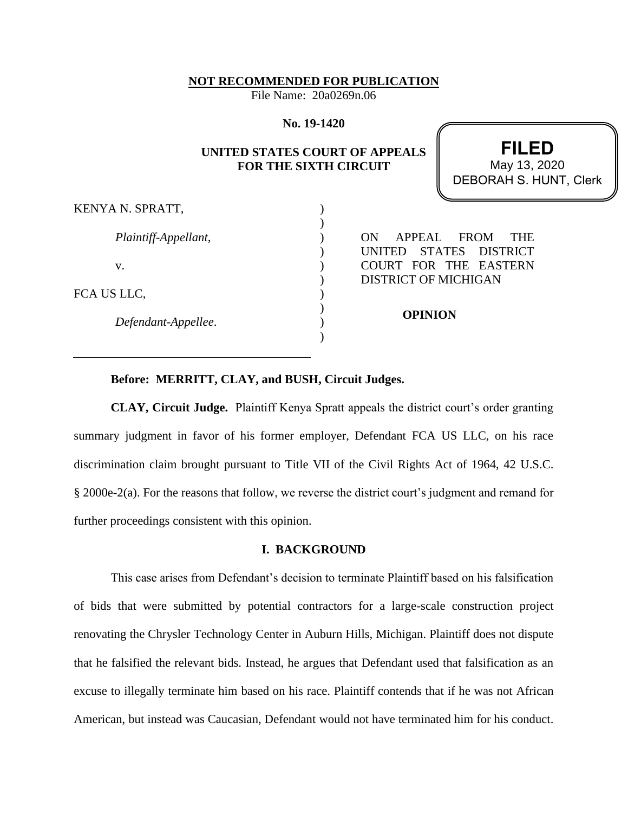**NOT RECOMMENDED FOR PUBLICATION**

File Name: 20a0269n.06

**No. 19-1420**

## **UNITED STATES COURT OF APPEALS FOR THE SIXTH CIRCUIT**

 ) ) ) ) ) ) ) ) ) )

**FILED** DEBORAH S. HUNT, Clerk May 13, 2020

KENYA N. SPRATT,

*Plaintiff-Appellant*,

v.

FCA US LLC,

*Defendant-Appellee*.

ON APPEAL FROM THE UNITED STATES DISTRICT COURT FOR THE EASTERN DISTRICT OF MICHIGAN

**OPINION**

# **Before: MERRITT, CLAY, and BUSH, Circuit Judges.**

**CLAY, Circuit Judge.** Plaintiff Kenya Spratt appeals the district court's order granting summary judgment in favor of his former employer, Defendant FCA US LLC, on his race discrimination claim brought pursuant to Title VII of the Civil Rights Act of 1964, 42 U.S.C. § 2000e-2(a). For the reasons that follow, we reverse the district court's judgment and remand for further proceedings consistent with this opinion.

### **I. BACKGROUND**

This case arises from Defendant's decision to terminate Plaintiff based on his falsification of bids that were submitted by potential contractors for a large-scale construction project renovating the Chrysler Technology Center in Auburn Hills, Michigan. Plaintiff does not dispute that he falsified the relevant bids. Instead, he argues that Defendant used that falsification as an excuse to illegally terminate him based on his race. Plaintiff contends that if he was not African American, but instead was Caucasian, Defendant would not have terminated him for his conduct.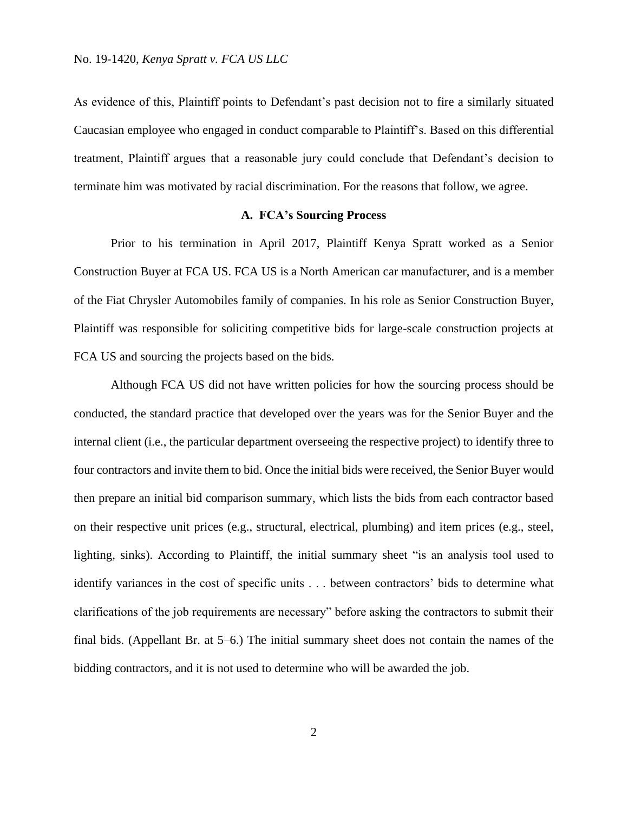As evidence of this, Plaintiff points to Defendant's past decision not to fire a similarly situated Caucasian employee who engaged in conduct comparable to Plaintiff's. Based on this differential treatment, Plaintiff argues that a reasonable jury could conclude that Defendant's decision to terminate him was motivated by racial discrimination. For the reasons that follow, we agree.

### **A. FCA's Sourcing Process**

Prior to his termination in April 2017, Plaintiff Kenya Spratt worked as a Senior Construction Buyer at FCA US. FCA US is a North American car manufacturer, and is a member of the Fiat Chrysler Automobiles family of companies. In his role as Senior Construction Buyer, Plaintiff was responsible for soliciting competitive bids for large-scale construction projects at FCA US and sourcing the projects based on the bids.

Although FCA US did not have written policies for how the sourcing process should be conducted, the standard practice that developed over the years was for the Senior Buyer and the internal client (i.e., the particular department overseeing the respective project) to identify three to four contractors and invite them to bid. Once the initial bids were received, the Senior Buyer would then prepare an initial bid comparison summary, which lists the bids from each contractor based on their respective unit prices (e.g., structural, electrical, plumbing) and item prices (e.g., steel, lighting, sinks). According to Plaintiff, the initial summary sheet "is an analysis tool used to identify variances in the cost of specific units . . . between contractors' bids to determine what clarifications of the job requirements are necessary" before asking the contractors to submit their final bids. (Appellant Br. at 5–6.) The initial summary sheet does not contain the names of the bidding contractors, and it is not used to determine who will be awarded the job.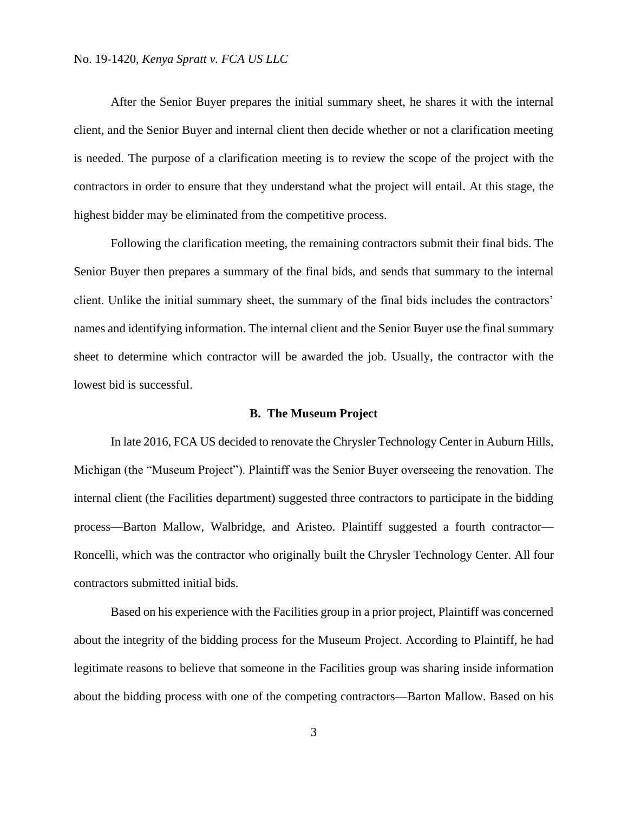After the Senior Buyer prepares the initial summary sheet, he shares it with the internal client, and the Senior Buyer and internal client then decide whether or not a clarification meeting is needed. The purpose of a clarification meeting is to review the scope of the project with the contractors in order to ensure that they understand what the project will entail. At this stage, the highest bidder may be eliminated from the competitive process.

Following the clarification meeting, the remaining contractors submit their final bids. The Senior Buyer then prepares a summary of the final bids, and sends that summary to the internal client. Unlike the initial summary sheet, the summary of the final bids includes the contractors' names and identifying information. The internal client and the Senior Buyer use the final summary sheet to determine which contractor will be awarded the job. Usually, the contractor with the lowest bid is successful.

#### **B. The Museum Project**

In late 2016, FCA US decided to renovate the Chrysler Technology Center in Auburn Hills, Michigan (the "Museum Project"). Plaintiff was the Senior Buyer overseeing the renovation. The internal client (the Facilities department) suggested three contractors to participate in the bidding process—Barton Mallow, Walbridge, and Aristeo. Plaintiff suggested a fourth contractor— Roncelli, which was the contractor who originally built the Chrysler Technology Center. All four contractors submitted initial bids.

Based on his experience with the Facilities group in a prior project, Plaintiff was concerned about the integrity of the bidding process for the Museum Project. According to Plaintiff, he had legitimate reasons to believe that someone in the Facilities group was sharing inside information about the bidding process with one of the competing contractors—Barton Mallow. Based on his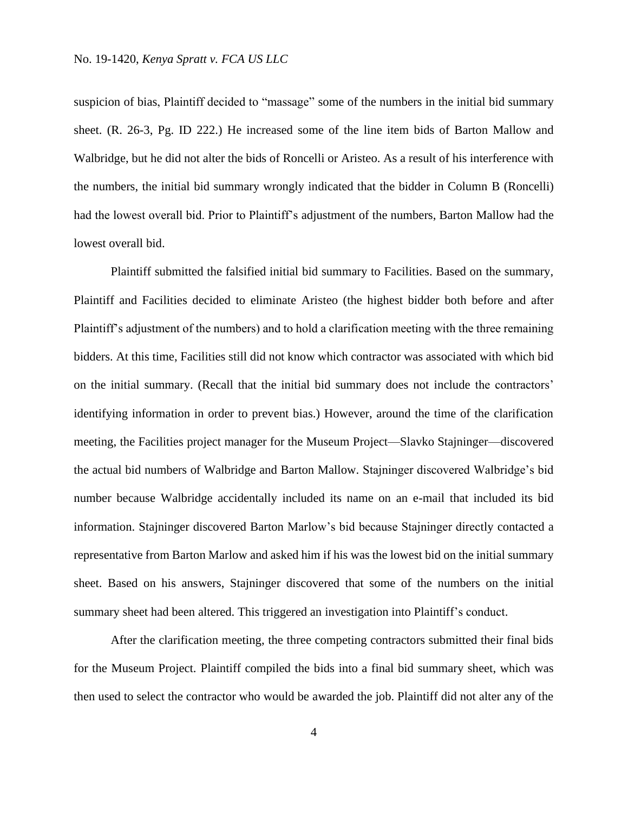suspicion of bias, Plaintiff decided to "massage" some of the numbers in the initial bid summary sheet. (R. 26-3, Pg. ID 222.) He increased some of the line item bids of Barton Mallow and Walbridge, but he did not alter the bids of Roncelli or Aristeo. As a result of his interference with the numbers, the initial bid summary wrongly indicated that the bidder in Column B (Roncelli) had the lowest overall bid. Prior to Plaintiff's adjustment of the numbers, Barton Mallow had the lowest overall bid.

Plaintiff submitted the falsified initial bid summary to Facilities. Based on the summary, Plaintiff and Facilities decided to eliminate Aristeo (the highest bidder both before and after Plaintiff's adjustment of the numbers) and to hold a clarification meeting with the three remaining bidders. At this time, Facilities still did not know which contractor was associated with which bid on the initial summary. (Recall that the initial bid summary does not include the contractors' identifying information in order to prevent bias.) However, around the time of the clarification meeting, the Facilities project manager for the Museum Project—Slavko Stajninger—discovered the actual bid numbers of Walbridge and Barton Mallow. Stajninger discovered Walbridge's bid number because Walbridge accidentally included its name on an e-mail that included its bid information. Stajninger discovered Barton Marlow's bid because Stajninger directly contacted a representative from Barton Marlow and asked him if his was the lowest bid on the initial summary sheet. Based on his answers, Stajninger discovered that some of the numbers on the initial summary sheet had been altered. This triggered an investigation into Plaintiff's conduct.

After the clarification meeting, the three competing contractors submitted their final bids for the Museum Project. Plaintiff compiled the bids into a final bid summary sheet, which was then used to select the contractor who would be awarded the job. Plaintiff did not alter any of the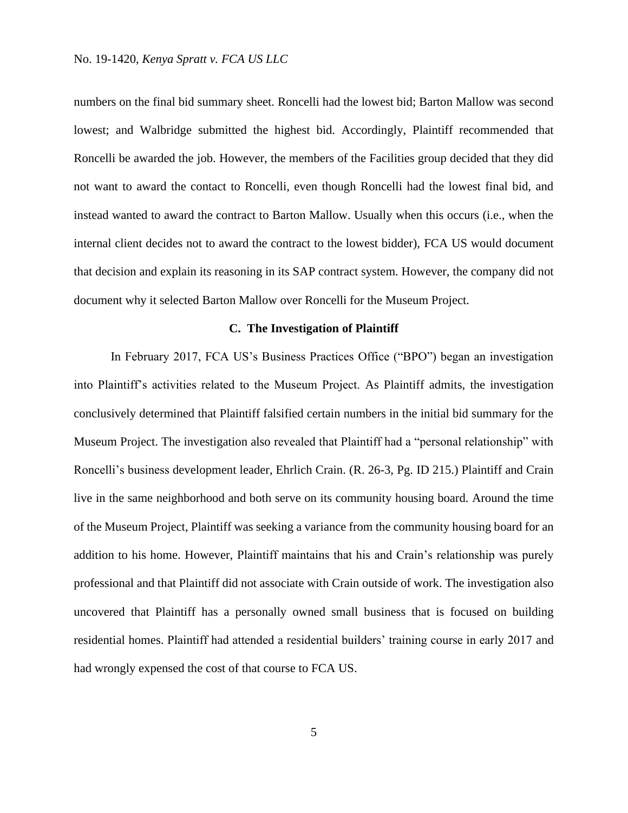numbers on the final bid summary sheet. Roncelli had the lowest bid; Barton Mallow was second lowest; and Walbridge submitted the highest bid. Accordingly, Plaintiff recommended that Roncelli be awarded the job. However, the members of the Facilities group decided that they did not want to award the contact to Roncelli, even though Roncelli had the lowest final bid, and instead wanted to award the contract to Barton Mallow. Usually when this occurs (i.e., when the internal client decides not to award the contract to the lowest bidder), FCA US would document that decision and explain its reasoning in its SAP contract system. However, the company did not document why it selected Barton Mallow over Roncelli for the Museum Project.

### **C. The Investigation of Plaintiff**

In February 2017, FCA US's Business Practices Office ("BPO") began an investigation into Plaintiff's activities related to the Museum Project. As Plaintiff admits, the investigation conclusively determined that Plaintiff falsified certain numbers in the initial bid summary for the Museum Project. The investigation also revealed that Plaintiff had a "personal relationship" with Roncelli's business development leader, Ehrlich Crain. (R. 26-3, Pg. ID 215.) Plaintiff and Crain live in the same neighborhood and both serve on its community housing board. Around the time of the Museum Project, Plaintiff was seeking a variance from the community housing board for an addition to his home. However, Plaintiff maintains that his and Crain's relationship was purely professional and that Plaintiff did not associate with Crain outside of work. The investigation also uncovered that Plaintiff has a personally owned small business that is focused on building residential homes. Plaintiff had attended a residential builders' training course in early 2017 and had wrongly expensed the cost of that course to FCA US.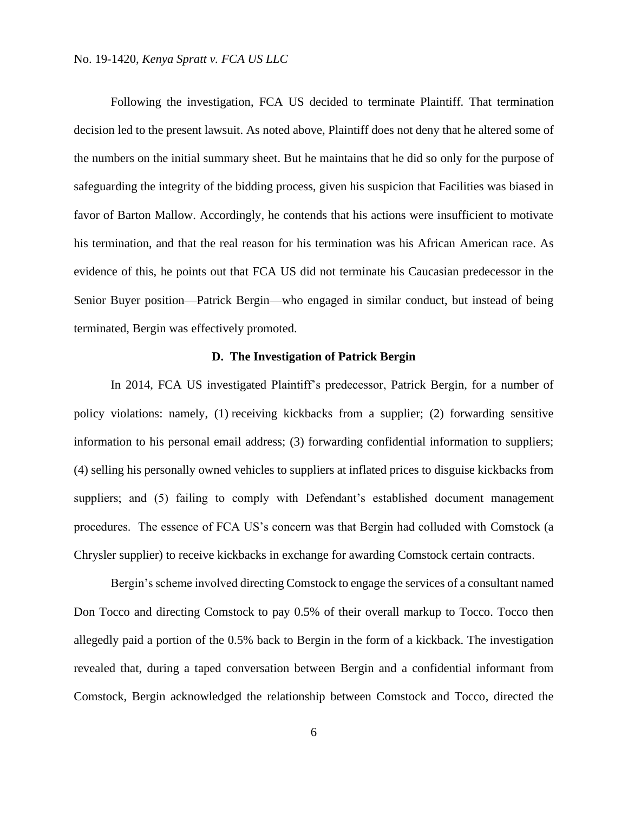Following the investigation, FCA US decided to terminate Plaintiff. That termination decision led to the present lawsuit. As noted above, Plaintiff does not deny that he altered some of the numbers on the initial summary sheet. But he maintains that he did so only for the purpose of safeguarding the integrity of the bidding process, given his suspicion that Facilities was biased in favor of Barton Mallow. Accordingly, he contends that his actions were insufficient to motivate his termination, and that the real reason for his termination was his African American race. As evidence of this, he points out that FCA US did not terminate his Caucasian predecessor in the Senior Buyer position—Patrick Bergin—who engaged in similar conduct, but instead of being terminated, Bergin was effectively promoted.

## **D. The Investigation of Patrick Bergin**

In 2014, FCA US investigated Plaintiff's predecessor, Patrick Bergin, for a number of policy violations: namely, (1) receiving kickbacks from a supplier; (2) forwarding sensitive information to his personal email address; (3) forwarding confidential information to suppliers; (4) selling his personally owned vehicles to suppliers at inflated prices to disguise kickbacks from suppliers; and (5) failing to comply with Defendant's established document management procedures. The essence of FCA US's concern was that Bergin had colluded with Comstock (a Chrysler supplier) to receive kickbacks in exchange for awarding Comstock certain contracts.

Bergin's scheme involved directing Comstock to engage the services of a consultant named Don Tocco and directing Comstock to pay 0.5% of their overall markup to Tocco. Tocco then allegedly paid a portion of the 0.5% back to Bergin in the form of a kickback. The investigation revealed that, during a taped conversation between Bergin and a confidential informant from Comstock, Bergin acknowledged the relationship between Comstock and Tocco, directed the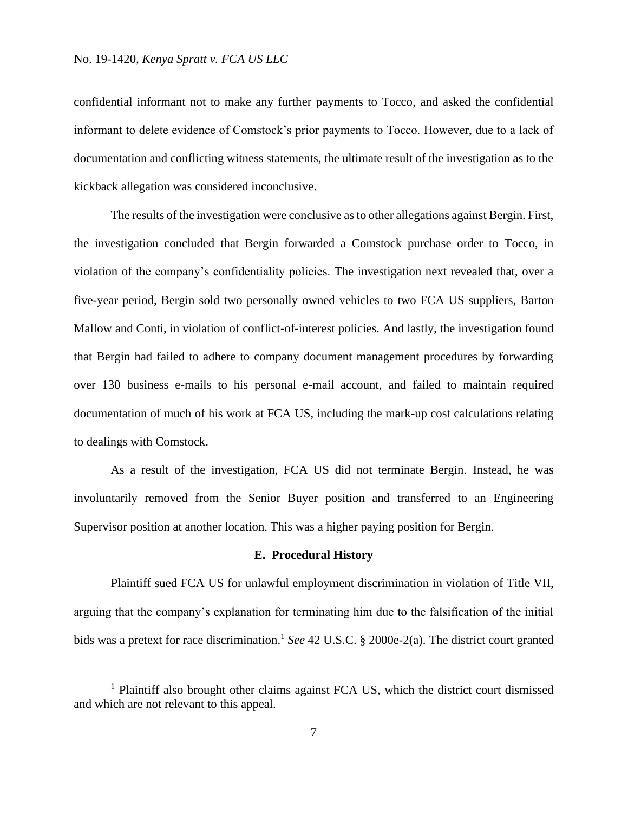confidential informant not to make any further payments to Tocco, and asked the confidential informant to delete evidence of Comstock's prior payments to Tocco. However, due to a lack of documentation and conflicting witness statements, the ultimate result of the investigation as to the kickback allegation was considered inconclusive.

The results of the investigation were conclusive as to other allegations against Bergin. First, the investigation concluded that Bergin forwarded a Comstock purchase order to Tocco, in violation of the company's confidentiality policies. The investigation next revealed that, over a five-year period, Bergin sold two personally owned vehicles to two FCA US suppliers, Barton Mallow and Conti, in violation of conflict-of-interest policies. And lastly, the investigation found that Bergin had failed to adhere to company document management procedures by forwarding over 130 business e-mails to his personal e-mail account, and failed to maintain required documentation of much of his work at FCA US, including the mark-up cost calculations relating to dealings with Comstock.

As a result of the investigation, FCA US did not terminate Bergin. Instead, he was involuntarily removed from the Senior Buyer position and transferred to an Engineering Supervisor position at another location. This was a higher paying position for Bergin.

### **E. Procedural History**

Plaintiff sued FCA US for unlawful employment discrimination in violation of Title VII, arguing that the company's explanation for terminating him due to the falsification of the initial bids was a pretext for race discrimination. 1 *See* 42 U.S.C. § 2000e-2(a). The district court granted

<sup>&</sup>lt;sup>1</sup> Plaintiff also brought other claims against FCA US, which the district court dismissed and which are not relevant to this appeal.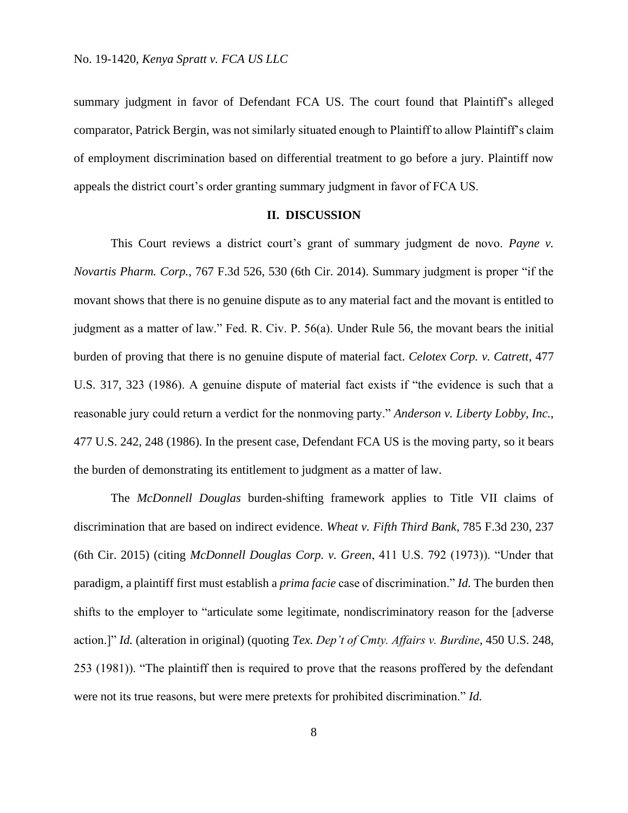summary judgment in favor of Defendant FCA US. The court found that Plaintiff's alleged comparator, Patrick Bergin, was not similarly situated enough to Plaintiff to allow Plaintiff's claim of employment discrimination based on differential treatment to go before a jury. Plaintiff now appeals the district court's order granting summary judgment in favor of FCA US.

### **II. DISCUSSION**

This Court reviews a district court's grant of summary judgment de novo. *Payne v. Novartis Pharm. Corp.*, 767 F.3d 526, 530 (6th Cir. 2014). Summary judgment is proper "if the movant shows that there is no genuine dispute as to any material fact and the movant is entitled to judgment as a matter of law." Fed. R. Civ. P. 56(a). Under Rule 56, the movant bears the initial burden of proving that there is no genuine dispute of material fact. *Celotex Corp. v. Catrett*, 477 U.S. 317, 323 (1986). A genuine dispute of material fact exists if "the evidence is such that a reasonable jury could return a verdict for the nonmoving party." *Anderson v. Liberty Lobby, Inc.*, 477 U.S. 242, 248 (1986). In the present case, Defendant FCA US is the moving party, so it bears the burden of demonstrating its entitlement to judgment as a matter of law.

The *McDonnell Douglas* burden-shifting framework applies to Title VII claims of discrimination that are based on indirect evidence. *Wheat v. Fifth Third Bank*, 785 F.3d 230, 237 (6th Cir. 2015) (citing *McDonnell Douglas Corp. v. Green*, 411 U.S. 792 (1973)). "Under that paradigm, a plaintiff first must establish a *prima facie* case of discrimination." *Id.* The burden then shifts to the employer to "articulate some legitimate, nondiscriminatory reason for the [adverse action.]" *Id.* (alteration in original) (quoting *Tex. Dep't of Cmty. Affairs v. Burdine*, 450 U.S. 248, 253 (1981)). "The plaintiff then is required to prove that the reasons proffered by the defendant were not its true reasons, but were mere pretexts for prohibited discrimination." *Id.*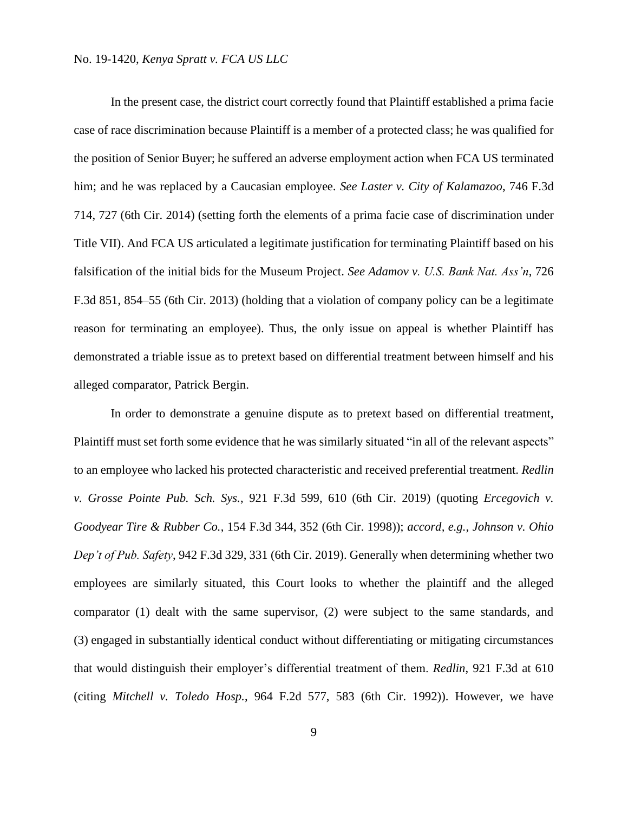In the present case, the district court correctly found that Plaintiff established a prima facie case of race discrimination because Plaintiff is a member of a protected class; he was qualified for the position of Senior Buyer; he suffered an adverse employment action when FCA US terminated him; and he was replaced by a Caucasian employee. *See Laster v. City of Kalamazoo*, 746 F.3d 714, 727 (6th Cir. 2014) (setting forth the elements of a prima facie case of discrimination under Title VII). And FCA US articulated a legitimate justification for terminating Plaintiff based on his falsification of the initial bids for the Museum Project. *See Adamov v. U.S. Bank Nat. Ass'n*, 726 F.3d 851, 854–55 (6th Cir. 2013) (holding that a violation of company policy can be a legitimate reason for terminating an employee). Thus, the only issue on appeal is whether Plaintiff has demonstrated a triable issue as to pretext based on differential treatment between himself and his alleged comparator, Patrick Bergin.

In order to demonstrate a genuine dispute as to pretext based on differential treatment, Plaintiff must set forth some evidence that he was similarly situated "in all of the relevant aspects" to an employee who lacked his protected characteristic and received preferential treatment. *Redlin v. Grosse Pointe Pub. Sch. Sys.*, 921 F.3d 599, 610 (6th Cir. 2019) (quoting *Ercegovich v. Goodyear Tire & Rubber Co.*, 154 F.3d 344, 352 (6th Cir. 1998)); *accord, e.g.*, *Johnson v. Ohio Dep't of Pub. Safety*, 942 F.3d 329, 331 (6th Cir. 2019). Generally when determining whether two employees are similarly situated, this Court looks to whether the plaintiff and the alleged comparator (1) dealt with the same supervisor, (2) were subject to the same standards, and (3) engaged in substantially identical conduct without differentiating or mitigating circumstances that would distinguish their employer's differential treatment of them. *Redlin*, 921 F.3d at 610 (citing *Mitchell v. Toledo Hosp.*, 964 F.2d 577, 583 (6th Cir. 1992)). However, we have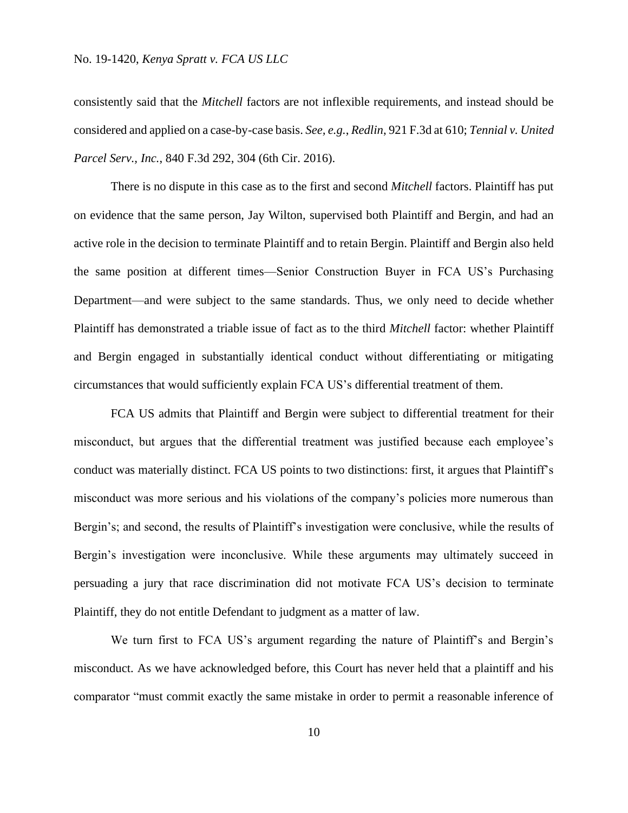consistently said that the *Mitchell* factors are not inflexible requirements, and instead should be considered and applied on a case-by-case basis. *See, e.g.*, *Redlin*, 921 F.3d at 610; *Tennial v. United Parcel Serv., Inc.*, 840 F.3d 292, 304 (6th Cir. 2016).

There is no dispute in this case as to the first and second *Mitchell* factors. Plaintiff has put on evidence that the same person, Jay Wilton, supervised both Plaintiff and Bergin, and had an active role in the decision to terminate Plaintiff and to retain Bergin. Plaintiff and Bergin also held the same position at different times—Senior Construction Buyer in FCA US's Purchasing Department—and were subject to the same standards. Thus, we only need to decide whether Plaintiff has demonstrated a triable issue of fact as to the third *Mitchell* factor: whether Plaintiff and Bergin engaged in substantially identical conduct without differentiating or mitigating circumstances that would sufficiently explain FCA US's differential treatment of them.

FCA US admits that Plaintiff and Bergin were subject to differential treatment for their misconduct, but argues that the differential treatment was justified because each employee's conduct was materially distinct. FCA US points to two distinctions: first, it argues that Plaintiff's misconduct was more serious and his violations of the company's policies more numerous than Bergin's; and second, the results of Plaintiff's investigation were conclusive, while the results of Bergin's investigation were inconclusive. While these arguments may ultimately succeed in persuading a jury that race discrimination did not motivate FCA US's decision to terminate Plaintiff, they do not entitle Defendant to judgment as a matter of law.

We turn first to FCA US's argument regarding the nature of Plaintiff's and Bergin's misconduct. As we have acknowledged before, this Court has never held that a plaintiff and his comparator "must commit exactly the same mistake in order to permit a reasonable inference of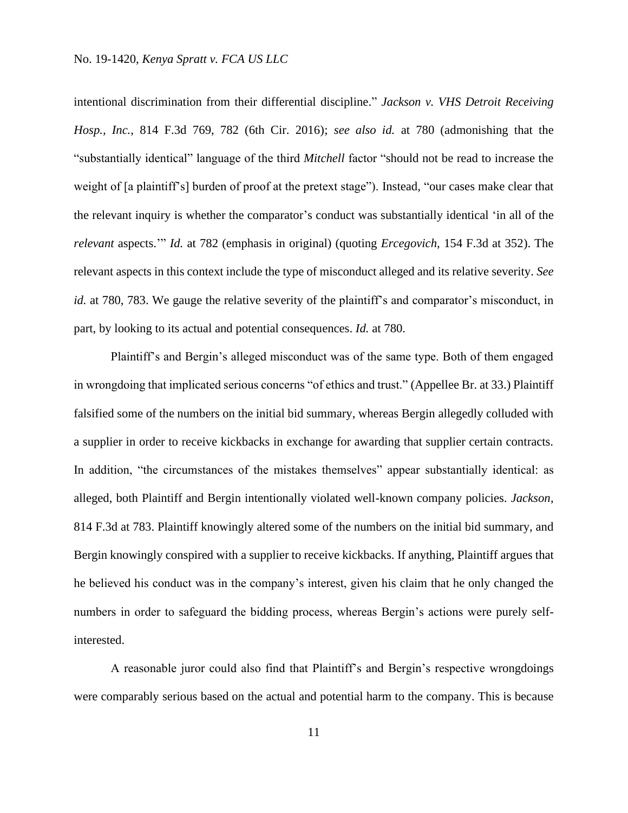intentional discrimination from their differential discipline." *Jackson v. VHS Detroit Receiving Hosp., Inc.*, 814 F.3d 769, 782 (6th Cir. 2016); *see also id.* at 780 (admonishing that the "substantially identical" language of the third *Mitchell* factor "should not be read to increase the weight of [a plaintiff's] burden of proof at the pretext stage"). Instead, "our cases make clear that the relevant inquiry is whether the comparator's conduct was substantially identical 'in all of the *relevant* aspects.'" *Id.* at 782 (emphasis in original) (quoting *Ercegovich*, 154 F.3d at 352). The relevant aspects in this context include the type of misconduct alleged and its relative severity. *See id.* at 780, 783. We gauge the relative severity of the plaintiff's and comparator's misconduct, in part, by looking to its actual and potential consequences. *Id.* at 780.

Plaintiff's and Bergin's alleged misconduct was of the same type. Both of them engaged in wrongdoing that implicated serious concerns "of ethics and trust." (Appellee Br. at 33.) Plaintiff falsified some of the numbers on the initial bid summary, whereas Bergin allegedly colluded with a supplier in order to receive kickbacks in exchange for awarding that supplier certain contracts. In addition, "the circumstances of the mistakes themselves" appear substantially identical: as alleged, both Plaintiff and Bergin intentionally violated well-known company policies. *Jackson*, 814 F.3d at 783. Plaintiff knowingly altered some of the numbers on the initial bid summary, and Bergin knowingly conspired with a supplier to receive kickbacks. If anything, Plaintiff argues that he believed his conduct was in the company's interest, given his claim that he only changed the numbers in order to safeguard the bidding process, whereas Bergin's actions were purely selfinterested.

A reasonable juror could also find that Plaintiff's and Bergin's respective wrongdoings were comparably serious based on the actual and potential harm to the company. This is because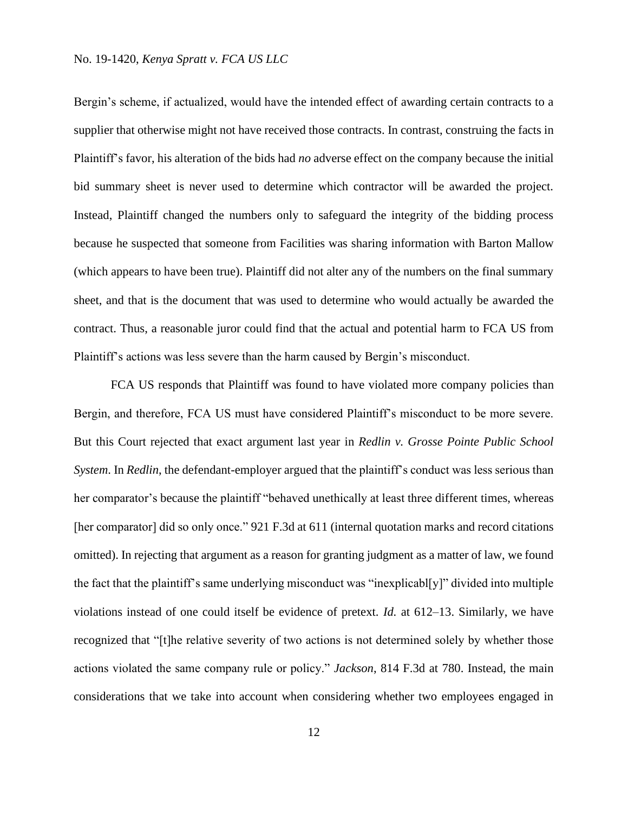Bergin's scheme, if actualized, would have the intended effect of awarding certain contracts to a supplier that otherwise might not have received those contracts. In contrast, construing the facts in Plaintiff's favor, his alteration of the bids had *no* adverse effect on the company because the initial bid summary sheet is never used to determine which contractor will be awarded the project. Instead, Plaintiff changed the numbers only to safeguard the integrity of the bidding process because he suspected that someone from Facilities was sharing information with Barton Mallow (which appears to have been true). Plaintiff did not alter any of the numbers on the final summary sheet, and that is the document that was used to determine who would actually be awarded the contract. Thus, a reasonable juror could find that the actual and potential harm to FCA US from Plaintiff's actions was less severe than the harm caused by Bergin's misconduct.

FCA US responds that Plaintiff was found to have violated more company policies than Bergin, and therefore, FCA US must have considered Plaintiff's misconduct to be more severe. But this Court rejected that exact argument last year in *Redlin v. Grosse Pointe Public School System*. In *Redlin*, the defendant-employer argued that the plaintiff's conduct was less serious than her comparator's because the plaintiff "behaved unethically at least three different times, whereas [her comparator] did so only once." 921 F.3d at 611 (internal quotation marks and record citations omitted). In rejecting that argument as a reason for granting judgment as a matter of law, we found the fact that the plaintiff's same underlying misconduct was "inexplicabl[y]" divided into multiple violations instead of one could itself be evidence of pretext. *Id.* at 612–13. Similarly, we have recognized that "[t]he relative severity of two actions is not determined solely by whether those actions violated the same company rule or policy." *Jackson*, 814 F.3d at 780. Instead, the main considerations that we take into account when considering whether two employees engaged in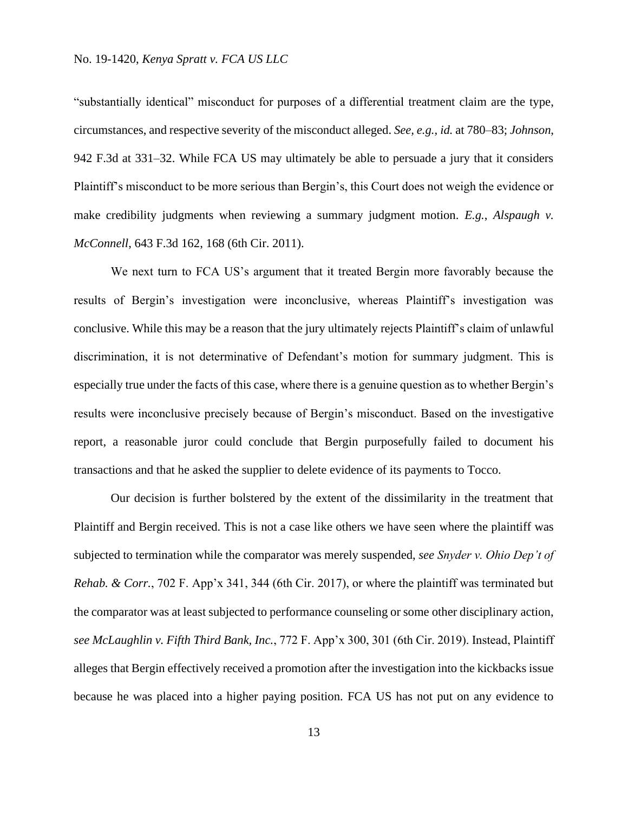"substantially identical" misconduct for purposes of a differential treatment claim are the type, circumstances, and respective severity of the misconduct alleged. *See, e.g.*, *id.* at 780–83; *Johnson*, 942 F.3d at 331–32. While FCA US may ultimately be able to persuade a jury that it considers Plaintiff's misconduct to be more serious than Bergin's, this Court does not weigh the evidence or make credibility judgments when reviewing a summary judgment motion. *E.g.*, *Alspaugh v. McConnell*, 643 F.3d 162, 168 (6th Cir. 2011).

We next turn to FCA US's argument that it treated Bergin more favorably because the results of Bergin's investigation were inconclusive, whereas Plaintiff's investigation was conclusive. While this may be a reason that the jury ultimately rejects Plaintiff's claim of unlawful discrimination, it is not determinative of Defendant's motion for summary judgment. This is especially true under the facts of this case, where there is a genuine question as to whether Bergin's results were inconclusive precisely because of Bergin's misconduct. Based on the investigative report, a reasonable juror could conclude that Bergin purposefully failed to document his transactions and that he asked the supplier to delete evidence of its payments to Tocco.

Our decision is further bolstered by the extent of the dissimilarity in the treatment that Plaintiff and Bergin received. This is not a case like others we have seen where the plaintiff was subjected to termination while the comparator was merely suspended, *see Snyder v. Ohio Dep't of Rehab. & Corr.*, 702 F. App'x 341, 344 (6th Cir. 2017), or where the plaintiff was terminated but the comparator was at least subjected to performance counseling or some other disciplinary action, *see McLaughlin v. Fifth Third Bank, Inc.*, 772 F. App'x 300, 301 (6th Cir. 2019). Instead, Plaintiff alleges that Bergin effectively received a promotion after the investigation into the kickbacks issue because he was placed into a higher paying position. FCA US has not put on any evidence to